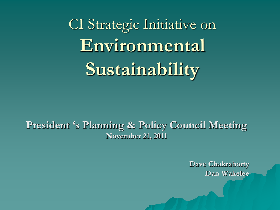CI Strategic Initiative on **Environmental Sustainability**

**President 's Planning & Policy Council Meeting November 21, 2011**

> **Dave Chakraborty Dan Wakelee**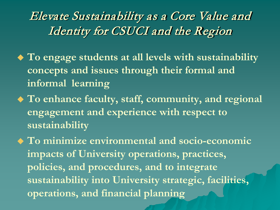#### Elevate Sustainability as a Core Value and Identity for CSUCI and the Region

- **To engage students at all levels with sustainability concepts and issues through their formal and informal learning**
- **To enhance faculty, staff, community, and regional engagement and experience with respect to sustainability**

 **To minimize environmental and socio-economic impacts of University operations, practices, policies, and procedures, and to integrate sustainability into University strategic, facilities, operations, and financial planning**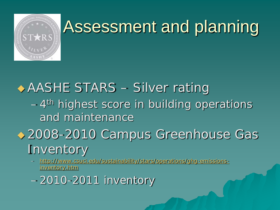

## Assessment and planning

### AASHE STARS – Silver rating  $-4$ <sup>th</sup> highest score in building operations and maintenance ◆ 2008-2010 Campus Greenhouse Gas Inventory

– [http://www.csuci.edu/sustainability/stars/operations/ghg-emissions](http://www.csuci.edu/sustainability/stars/operations/ghg-emissions-inventory.htm)inventory.htm

– 2010-2011 inventory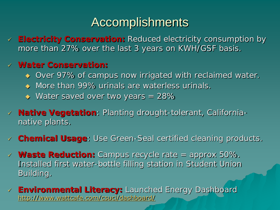### **Accomplishments**

 **Electricity Conservation:** Reduced electricity consumption by more than 27% over the last 3 years on KWH/GSF basis.

#### **Water Conservation:**

- ◆ Over 97% of campus now irrigated with reclaimed water.
- ◆ More than 99% urinals are waterless urinals.
- $\leftrightarrow$  Water saved over two years = 28%
- **Native Vegetation**: Planting drought-tolerant, Californianative plants.
- **Chemical Usage**: Use Green-Seal certified cleaning products.
- **Waste Reduction:** Campus recycle rate = approx 50%. Installed first water-bottle filling station in Student Union Building.
- **Environmental Literacy:** Launched Energy Dashboard <http://www.wattcafe.com/csuci/dashboard/>